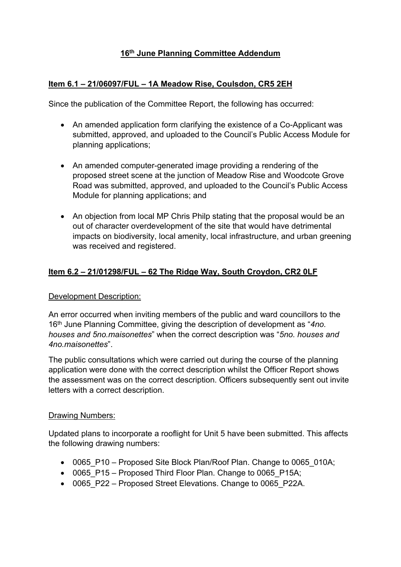# **16th June Planning Committee Addendum**

### **Item 6.1 – 21/06097/FUL – 1A Meadow Rise, Coulsdon, CR5 2EH**

Since the publication of the Committee Report, the following has occurred:

- An amended application form clarifying the existence of a Co-Applicant was submitted, approved, and uploaded to the Council's Public Access Module for planning applications;
- An amended computer-generated image providing a rendering of the proposed street scene at the junction of Meadow Rise and Woodcote Grove Road was submitted, approved, and uploaded to the Council's Public Access Module for planning applications; and
- An objection from local MP Chris Philp stating that the proposal would be an out of character overdevelopment of the site that would have detrimental impacts on biodiversity, local amenity, local infrastructure, and urban greening was received and registered.

## **Item 6.2 – 21/01298/FUL – 62 The Ridge Way, South Croydon, CR2 0LF**

#### Development Description:

An error occurred when inviting members of the public and ward councillors to the 16th June Planning Committee, giving the description of development as "*4no. houses and 5no.maisonettes*" when the correct description was "*5no. houses and 4no.maisonettes*".

The public consultations which were carried out during the course of the planning application were done with the correct description whilst the Officer Report shows the assessment was on the correct description. Officers subsequently sent out invite letters with a correct description.

#### Drawing Numbers:

Updated plans to incorporate a rooflight for Unit 5 have been submitted. This affects the following drawing numbers:

- 0065 P10 Proposed Site Block Plan/Roof Plan. Change to 0065 010A;
- 0065 P15 Proposed Third Floor Plan. Change to 0065 P15A;
- 0065\_P22 Proposed Street Elevations. Change to 0065\_P22A.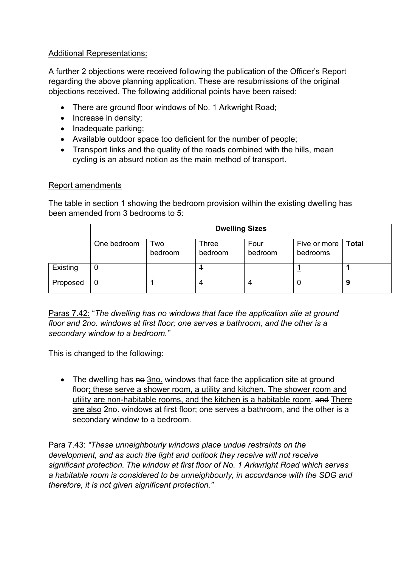## Additional Representations:

A further 2 objections were received following the publication of the Officer's Report regarding the above planning application. These are resubmissions of the original objections received. The following additional points have been raised:

- There are ground floor windows of No. 1 Arkwright Road;
- Increase in density;
- Inadequate parking;
- Available outdoor space too deficient for the number of people;
- Transport links and the quality of the roads combined with the hills, mean cycling is an absurd notion as the main method of transport.

#### Report amendments

The table in section 1 showing the bedroom provision within the existing dwelling has been amended from 3 bedrooms to 5:

|          | <b>Dwelling Sizes</b> |                |                  |                 |                            |       |
|----------|-----------------------|----------------|------------------|-----------------|----------------------------|-------|
|          | One bedroom           | Two<br>bedroom | Three<br>bedroom | Four<br>bedroom | Five or more  <br>bedrooms | Total |
| Existing | U                     |                |                  |                 |                            |       |
| Proposed | 0                     |                | 4                |                 | U                          | 9     |

Paras 7.42: "*The dwelling has no windows that face the application site at ground floor and 2no. windows at first floor; one serves a bathroom, and the other is a secondary window to a bedroom."*

This is changed to the following:

• The dwelling has no 3no. windows that face the application site at ground floor; these serve a shower room, a utility and kitchen. The shower room and utility are non-habitable rooms, and the kitchen is a habitable room. and There are also 2no. windows at first floor; one serves a bathroom, and the other is a secondary window to a bedroom.

Para 7.43: *"These unneighbourly windows place undue restraints on the development, and as such the light and outlook they receive will not receive significant protection. The window at first floor of No. 1 Arkwright Road which serves a habitable room is considered to be unneighbourly, in accordance with the SDG and therefore, it is not given significant protection."*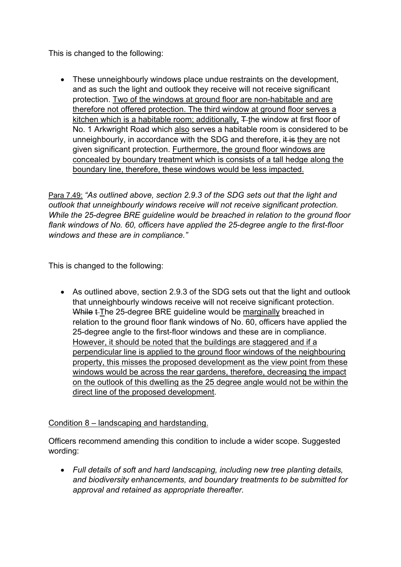This is changed to the following:

• These unneighbourly windows place undue restraints on the development, and as such the light and outlook they receive will not receive significant protection. Two of the windows at ground floor are non-habitable and are therefore not offered protection. The third window at ground floor serves a kitchen which is a habitable room; additionally,  $\pm$ the window at first floor of No. 1 Arkwright Road which also serves a habitable room is considered to be unneighbourly, in accordance with the SDG and therefore, it is they are not given significant protection. Furthermore, the ground floor windows are concealed by boundary treatment which is consists of a tall hedge along the boundary line, therefore, these windows would be less impacted.

Para 7.49: *"As outlined above, section 2.9.3 of the SDG sets out that the light and outlook that unneighbourly windows receive will not receive significant protection. While the 25-degree BRE guideline would be breached in relation to the ground floor flank windows of No. 60, officers have applied the 25-degree angle to the first-floor windows and these are in compliance."*

This is changed to the following:

 As outlined above, section 2.9.3 of the SDG sets out that the light and outlook that unneighbourly windows receive will not receive significant protection. While t The 25-degree BRE guideline would be marginally breached in relation to the ground floor flank windows of No. 60, officers have applied the 25-degree angle to the first-floor windows and these are in compliance. However, it should be noted that the buildings are staggered and if a perpendicular line is applied to the ground floor windows of the neighbouring property, this misses the proposed development as the view point from these windows would be across the rear gardens, therefore, decreasing the impact on the outlook of this dwelling as the 25 degree angle would not be within the direct line of the proposed development.

# Condition 8 – landscaping and hardstanding.

Officers recommend amending this condition to include a wider scope. Suggested wording:

 *Full details of soft and hard landscaping, including new tree planting details, and biodiversity enhancements, and boundary treatments to be submitted for approval and retained as appropriate thereafter.*